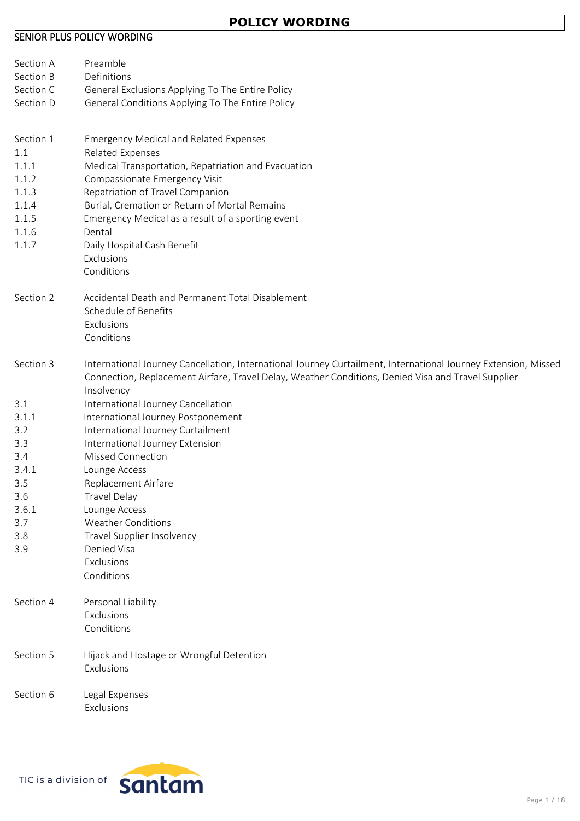# **POLICY WORDING**

### **SENIOR PLUS POLICY WORDING**

| Section A  | Preamble                                                                                                         |
|------------|------------------------------------------------------------------------------------------------------------------|
| Section B  | Definitions                                                                                                      |
| Section C  | General Exclusions Applying To The Entire Policy                                                                 |
| Section D  | General Conditions Applying To The Entire Policy                                                                 |
| Section 1  | <b>Emergency Medical and Related Expenses</b>                                                                    |
| 1.1        | <b>Related Expenses</b>                                                                                          |
| 1.1.1      | Medical Transportation, Repatriation and Evacuation                                                              |
| 1.1.2      | Compassionate Emergency Visit                                                                                    |
| 1.1.3      | Repatriation of Travel Companion                                                                                 |
| 1.1.4      | Burial, Cremation or Return of Mortal Remains                                                                    |
| 1.1.5      | Emergency Medical as a result of a sporting event                                                                |
| 1.1.6      | Dental                                                                                                           |
| 1.1.7      | Daily Hospital Cash Benefit<br>Exclusions                                                                        |
|            | Conditions                                                                                                       |
| Section 2  | Accidental Death and Permanent Total Disablement                                                                 |
|            | Schedule of Benefits                                                                                             |
|            | Exclusions                                                                                                       |
|            | Conditions                                                                                                       |
| Section 3  | International Journey Cancellation, International Journey Curtailment, International Journey Extension, Missed   |
|            | Connection, Replacement Airfare, Travel Delay, Weather Conditions, Denied Visa and Travel Supplier<br>Insolvency |
| 3.1        | International Journey Cancellation                                                                               |
| 3.1.1      | International Journey Postponement                                                                               |
| 3.2        | International Journey Curtailment                                                                                |
| 3.3        | International Journey Extension                                                                                  |
| 3.4        | <b>Missed Connection</b>                                                                                         |
| 3.4.1      | Lounge Access                                                                                                    |
| 3.5        | Replacement Airfare                                                                                              |
| 3.6        | <b>Travel Delay</b>                                                                                              |
| 3.6.1      | Lounge Access                                                                                                    |
| 3.7<br>3.8 | <b>Weather Conditions</b><br>Travel Supplier Insolvency                                                          |
| 3.9        | Denied Visa                                                                                                      |
|            | Exclusions                                                                                                       |
|            | Conditions                                                                                                       |
| Section 4  | Personal Liability                                                                                               |
|            | Exclusions                                                                                                       |
|            | Conditions                                                                                                       |
| Section 5  | Hijack and Hostage or Wrongful Detention                                                                         |
|            | Exclusions                                                                                                       |
| Section 6  | Legal Expenses                                                                                                   |
|            | Exclusions                                                                                                       |

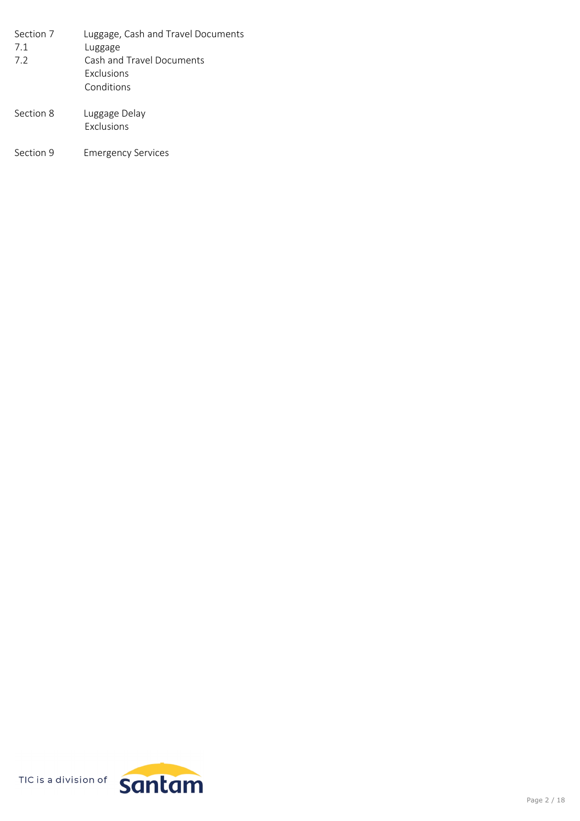| Section 7 | Luggage, Cash and Travel Documents |
|-----------|------------------------------------|
| 7.1       | Luggage                            |
| 7.2       | Cash and Travel Documents          |
|           | <b>Exclusions</b>                  |
|           | Conditions                         |
| Section 8 | Luggage Delay<br>Exclusions        |

Section 9 Emergency Services

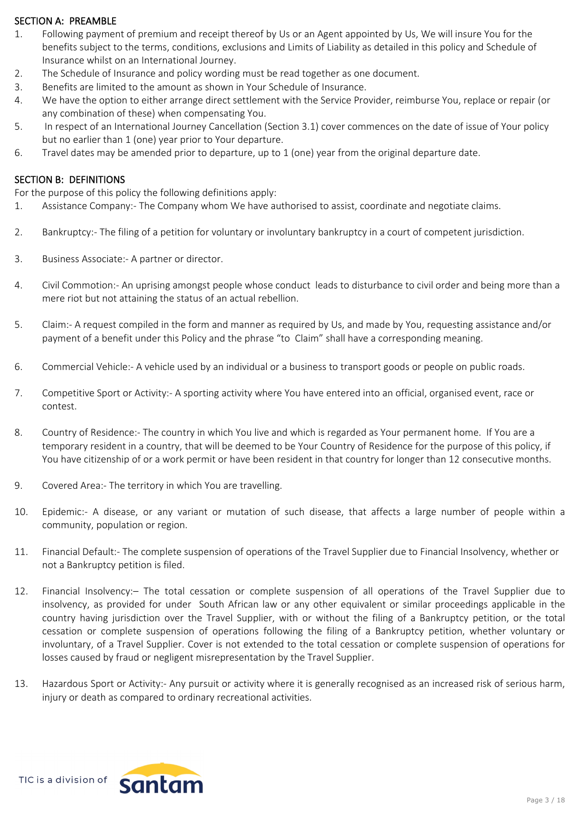### **SECTION A: PREAMBLE**

- 1. Following payment of premium and receipt thereof by Us or an Agent appointed by Us, We will insure You for the benefits subject to the terms, conditions, exclusions and Limits of Liability as detailed in this policy and Schedule of Insurance whilst on an International Journey.
- 2. The Schedule of Insurance and policy wording must be read together as one document.
- 3. Benefits are limited to the amount as shown in Your Schedule of Insurance.
- 4. We have the option to either arrange direct settlement with the Service Provider, reimburse You, replace or repair (or any combination of these) when compensating You.
- 5. In respect of an International Journey Cancellation (Section 3.1) cover commences on the date of issue of Your policy but no earlier than 1 (one) year prior to Your departure.
- 6. Travel dates may be amended prior to departure, up to 1 (one) year from the original departure date.

### **SECTION B: DEFINITIONS**

For the purpose of this policy the following definitions apply:

- 1. Assistance Company:- The Company whom We have authorised to assist, coordinate and negotiate claims.
- 2. Bankruptcy:- The filing of a petition for voluntary or involuntary bankruptcy in a court of competent jurisdiction.
- 3. Business Associate:- A partner or director.
- 4. Civil Commotion:- An uprising amongst people whose conduct leads to disturbance to civil order and being more than a mere riot but not attaining the status of an actual rebellion.
- 5. Claim:- A request compiled in the form and manner as required by Us, and made by You, requesting assistance and/or payment of a benefit under this Policy and the phrase "to Claim" shall have a corresponding meaning.
- 6. Commercial Vehicle:- A vehicle used by an individual or a business to transport goods or people on public roads.
- 7. Competitive Sport or Activity:- A sporting activity where You have entered into an official, organised event, race or contest.
- 8. Country of Residence:- The country in which You live and which is regarded as Your permanent home. If You are a temporary resident in a country, that will be deemed to be Your Country of Residence for the purpose of this policy, if You have citizenship of or a work permit or have been resident in that country for longer than 12 consecutive months.
- 9. Covered Area:- The territory in which You are travelling.
- 10. Epidemic:- A disease, or any variant or mutation of such disease, that affects a large number of people within a community, population or region.
- 11. Financial Default:- The complete suspension of operations of the Travel Supplier due to Financial Insolvency, whether or not a Bankruptcy petition is filed.
- 12. Financial Insolvency:– The total cessation or complete suspension of all operations of the Travel Supplier due to insolvency, as provided for under South African law or any other equivalent or similar proceedings applicable in the country having jurisdiction over the Travel Supplier, with or without the filing of a Bankruptcy petition, or the total cessation or complete suspension of operations following the filing of a Bankruptcy petition, whether voluntary or involuntary, of a Travel Supplier. Cover is not extended to the total cessation or complete suspension of operations for losses caused by fraud or negligent misrepresentation by the Travel Supplier.
- 13. Hazardous Sport or Activity:- Any pursuit or activity where it is generally recognised as an increased risk of serious harm, injury or death as compared to ordinary recreational activities.

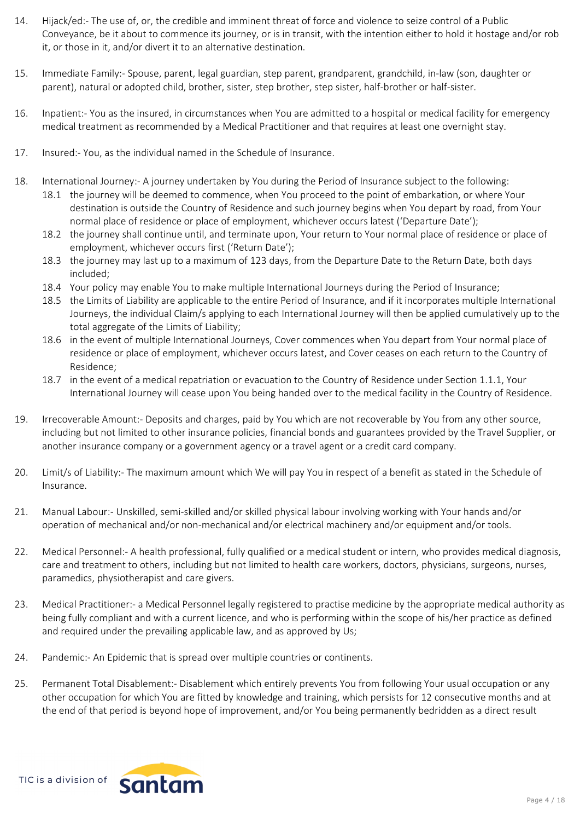- 14. Hijack/ed:- The use of, or, the credible and imminent threat of force and violence to seize control of a Public Conveyance, be it about to commence its journey, or is in transit, with the intention either to hold it hostage and/or rob it, or those in it, and/or divert it to an alternative destination.
- 15. Immediate Family:- Spouse, parent, legal guardian, step parent, grandparent, grandchild, in-law (son, daughter or parent), natural or adopted child, brother, sister, step brother, step sister, half-brother or half-sister.
- 16. Inpatient:- You as the insured, in circumstances when You are admitted to a hospital or medical facility for emergency medical treatment as recommended by a Medical Practitioner and that requires at least one overnight stay.
- 17. Insured:- You, as the individual named in the Schedule of Insurance.
- 18. International Journey:- A journey undertaken by You during the Period of Insurance subject to the following:
	- 18.1 the journey will be deemed to commence, when You proceed to the point of embarkation, or where Your destination is outside the Country of Residence and such journey begins when You depart by road, from Your normal place of residence or place of employment, whichever occurs latest ('Departure Date');
	- 18.2 the journey shall continue until, and terminate upon, Your return to Your normal place of residence or place of employment, whichever occurs first ('Return Date');
	- 18.3 the journey may last up to a maximum of 123 days, from the Departure Date to the Return Date, both days included;
	- 18.4 Your policy may enable You to make multiple International Journeys during the Period of Insurance;
	- 18.5 the Limits of Liability are applicable to the entire Period of Insurance, and if it incorporates multiple International Journeys, the individual Claim/s applying to each International Journey will then be applied cumulatively up to the total aggregate of the Limits of Liability;
	- 18.6 in the event of multiple International Journeys, Cover commences when You depart from Your normal place of residence or place of employment, whichever occurs latest, and Cover ceases on each return to the Country of Residence;
	- 18.7 in the event of a medical repatriation or evacuation to the Country of Residence under Section 1.1.1, Your International Journey will cease upon You being handed over to the medical facility in the Country of Residence.
- 19. Irrecoverable Amount:- Deposits and charges, paid by You which are not recoverable by You from any other source, including but not limited to other insurance policies, financial bonds and guarantees provided by the Travel Supplier, or another insurance company or a government agency or a travel agent or a credit card company.
- 20. Limit/s of Liability:- The maximum amount which We will pay You in respect of a benefit as stated in the Schedule of Insurance.
- 21. Manual Labour:- Unskilled, semi-skilled and/or skilled physical labour involving working with Your hands and/or operation of mechanical and/or non-mechanical and/or electrical machinery and/or equipment and/or tools.
- 22. Medical Personnel:- A health professional, fully qualified or a medical student or intern, who provides medical diagnosis, care and treatment to others, including but not limited to health care workers, doctors, physicians, surgeons, nurses, paramedics, physiotherapist and care givers.
- 23. Medical Practitioner:- a Medical Personnel legally registered to practise medicine by the appropriate medical authority as being fully compliant and with a current licence, and who is performing within the scope of his/her practice as defined and required under the prevailing applicable law, and as approved by Us;
- 24. Pandemic:- An Epidemic that is spread over multiple countries or continents.
- 25. Permanent Total Disablement:- Disablement which entirely prevents You from following Your usual occupation or any other occupation for which You are fitted by knowledge and training, which persists for 12 consecutive months and at the end of that period is beyond hope of improvement, and/or You being permanently bedridden as a direct result

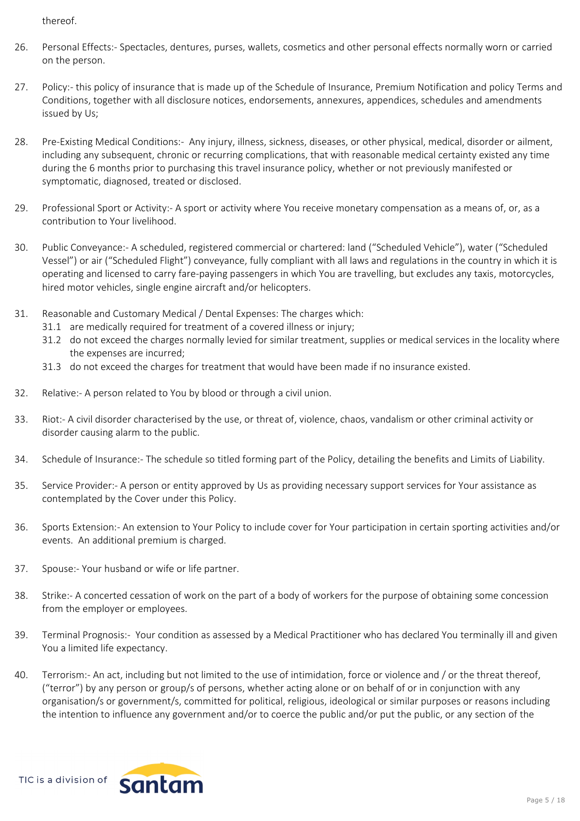thereof.

- 26. Personal Effects:- Spectacles, dentures, purses, wallets, cosmetics and other personal effects normally worn or carried on the person.
- 27. Policy:- this policy of insurance that is made up of the Schedule of Insurance, Premium Notification and policy Terms and Conditions, together with all disclosure notices, endorsements, annexures, appendices, schedules and amendments issued by Us;
- 28. Pre-Existing Medical Conditions:- Any injury, illness, sickness, diseases, or other physical, medical, disorder or ailment, including any subsequent, chronic or recurring complications, that with reasonable medical certainty existed any time during the 6 months prior to purchasing this travel insurance policy, whether or not previously manifested or symptomatic, diagnosed, treated or disclosed.
- 29. Professional Sport or Activity:- A sport or activity where You receive monetary compensation as a means of, or, as a contribution to Your livelihood.
- 30. Public Conveyance:- A scheduled, registered commercial or chartered: land ("Scheduled Vehicle"), water ("Scheduled Vessel") or air ("Scheduled Flight") conveyance, fully compliant with all laws and regulations in the country in which it is operating and licensed to carry fare-paying passengers in which You are travelling, but excludes any taxis, motorcycles, hired motor vehicles, single engine aircraft and/or helicopters.
- 31. Reasonable and Customary Medical / Dental Expenses: The charges which:
	- 31.1 are medically required for treatment of a covered illness or injury;
	- 31.2 do not exceed the charges normally levied for similar treatment, supplies or medical services in the locality where the expenses are incurred;
	- 31.3 do not exceed the charges for treatment that would have been made if no insurance existed.
- 32. Relative:- A person related to You by blood or through a civil union.
- 33. Riot:- A civil disorder characterised by the use, or threat of, violence, chaos, vandalism or other criminal activity or disorder causing alarm to the public.
- 34. Schedule of Insurance:- The schedule so titled forming part of the Policy, detailing the benefits and Limits of Liability.
- 35. Service Provider:- A person or entity approved by Us as providing necessary support services for Your assistance as contemplated by the Cover under this Policy.
- 36. Sports Extension:- An extension to Your Policy to include cover for Your participation in certain sporting activities and/or events. An additional premium is charged.
- 37. Spouse:- Your husband or wife or life partner.
- 38. Strike:- A concerted cessation of work on the part of a body of workers for the purpose of obtaining some concession from the employer or employees.
- 39. Terminal Prognosis:- Your condition as assessed by a Medical Practitioner who has declared You terminally ill and given You a limited life expectancy.
- 40. Terrorism:- An act, including but not limited to the use of intimidation, force or violence and / or the threat thereof, ("terror") by any person or group/s of persons, whether acting alone or on behalf of or in conjunction with any organisation/s or government/s, committed for political, religious, ideological or similar purposes or reasons including the intention to influence any government and/or to coerce the public and/or put the public, or any section of the

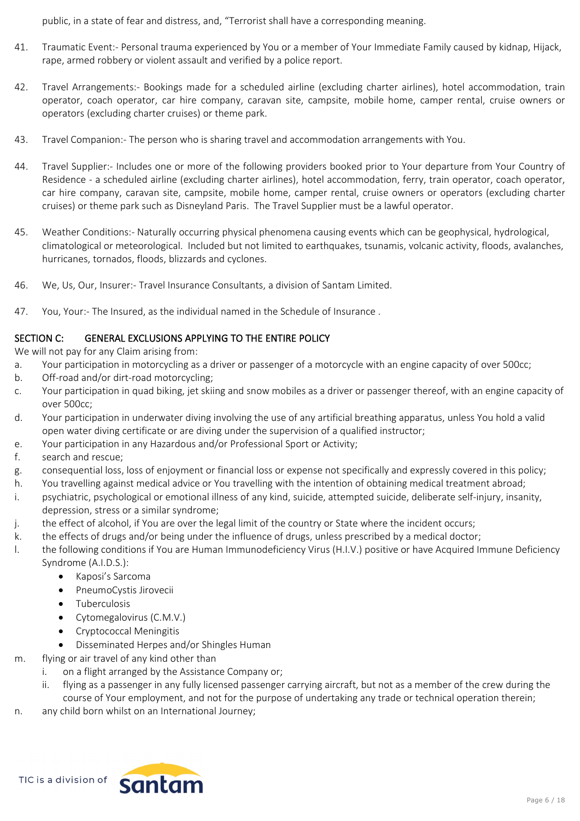public, in a state of fear and distress, and, "Terrorist shall have a corresponding meaning.

- 41. Traumatic Event:- Personal trauma experienced by You or a member of Your Immediate Family caused by kidnap, Hijack, rape, armed robbery or violent assault and verified by a police report.
- 42. Travel Arrangements:- Bookings made for a scheduled airline (excluding charter airlines), hotel accommodation, train operator, coach operator, car hire company, caravan site, campsite, mobile home, camper rental, cruise owners or operators (excluding charter cruises) or theme park.
- 43. Travel Companion:- The person who is sharing travel and accommodation arrangements with You.
- 44. Travel Supplier:- Includes one or more of the following providers booked prior to Your departure from Your Country of Residence - a scheduled airline (excluding charter airlines), hotel accommodation, ferry, train operator, coach operator, car hire company, caravan site, campsite, mobile home, camper rental, cruise owners or operators (excluding charter cruises) or theme park such as Disneyland Paris. The Travel Supplier must be a lawful operator.
- 45. Weather Conditions:- Naturally occurring physical phenomena causing events which can be geophysical, hydrological, climatological or meteorological. Included but not limited to earthquakes, tsunamis, volcanic activity, floods, avalanches, hurricanes, tornados, floods, blizzards and cyclones.
- 46. We, Us, Our, Insurer:- Travel Insurance Consultants, a division of Santam Limited.
- 47. You, Your:- The Insured, as the individual named in the Schedule of Insurance .

# **SECTION C: GENERAL EXCLUSIONS APPLYING TO THE ENTIRE POLICY**

We will not pay for any Claim arising from:

- a. Your participation in motorcycling as a driver or passenger of a motorcycle with an engine capacity of over 500cc;
- b. Off-road and/or dirt-road motorcycling;
- c. Your participation in quad biking, jet skiing and snow mobiles as a driver or passenger thereof, with an engine capacity of over 500cc;
- d. Your participation in underwater diving involving the use of any artificial breathing apparatus, unless You hold a valid open water diving certificate or are diving under the supervision of a qualified instructor;
- e. Your participation in any Hazardous and/or Professional Sport or Activity;
- f. search and rescue;
- g. consequential loss, loss of enjoyment or financial loss or expense not specifically and expressly covered in this policy;
- h. You travelling against medical advice or You travelling with the intention of obtaining medical treatment abroad;
- i. psychiatric, psychological or emotional illness of any kind, suicide, attempted suicide, deliberate self-injury, insanity, depression, stress or a similar syndrome;
- j. the effect of alcohol, if You are over the legal limit of the country or State where the incident occurs;
- k. the effects of drugs and/or being under the influence of drugs, unless prescribed by a medical doctor;
- l. the following conditions if You are Human Immunodeficiency Virus (H.I.V.) positive or have Acquired Immune Deficiency Syndrome (A.I.D.S.):
	- · Kaposi's Sarcoma
	- PneumoCystis Jirovecii
	- · Tuberculosis
	- Cytomegalovirus (C.M.V.)
	- · Cryptococcal Meningitis
	- Disseminated Herpes and/or Shingles Human
- m. flying or air travel of any kind other than
	- i. on a flight arranged by the Assistance Company or;
	- ii. flying as a passenger in any fully licensed passenger carrying aircraft, but not as a member of the crew during the course of Your employment, and not for the purpose of undertaking any trade or technical operation therein;
- n. any child born whilst on an International Journey;

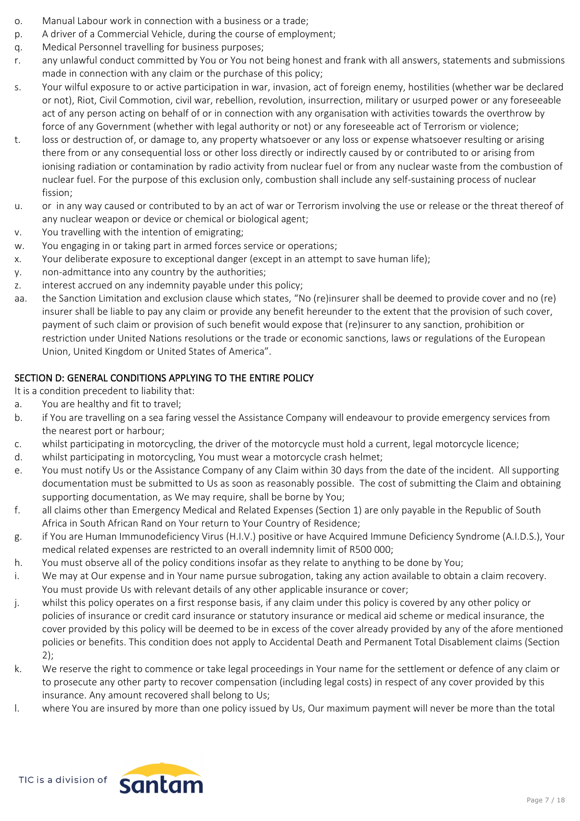- o. Manual Labour work in connection with a business or a trade;
- p. A driver of a Commercial Vehicle, during the course of employment;
- q. Medical Personnel travelling for business purposes;
- r. any unlawful conduct committed by You or You not being honest and frank with all answers, statements and submissions made in connection with any claim or the purchase of this policy;
- s. Your wilful exposure to or active participation in war, invasion, act of foreign enemy, hostilities (whether war be declared or not), Riot, Civil Commotion, civil war, rebellion, revolution, insurrection, military or usurped power or any foreseeable act of any person acting on behalf of or in connection with any organisation with activities towards the overthrow by force of any Government (whether with legal authority or not) or any foreseeable act of Terrorism or violence;
- t. loss or destruction of, or damage to, any property whatsoever or any loss or expense whatsoever resulting or arising there from or any consequential loss or other loss directly or indirectly caused by or contributed to or arising from ionising radiation or contamination by radio activity from nuclear fuel or from any nuclear waste from the combustion of nuclear fuel. For the purpose of this exclusion only, combustion shall include any self-sustaining process of nuclear fission;
- u. or in any way caused or contributed to by an act of war or Terrorism involving the use or release or the threat thereof of any nuclear weapon or device or chemical or biological agent;
- v. You travelling with the intention of emigrating;
- w. You engaging in or taking part in armed forces service or operations;
- x. Your deliberate exposure to exceptional danger (except in an attempt to save human life);
- y. non-admittance into any country by the authorities;
- z. interest accrued on any indemnity payable under this policy;
- aa. the Sanction Limitation and exclusion clause which states, "No (re)insurer shall be deemed to provide cover and no (re) insurer shall be liable to pay any claim or provide any benefit hereunder to the extent that the provision of such cover, payment of such claim or provision of such benefit would expose that (re)insurer to any sanction, prohibition or restriction under United Nations resolutions or the trade or economic sanctions, laws or regulations of the European Union, United Kingdom or United States of America".

# **SECTION D: GENERAL CONDITIONS APPLYING TO THE ENTIRE POLICY**

- It is a condition precedent to liability that:
- a. You are healthy and fit to travel;
- b. if You are travelling on a sea faring vessel the Assistance Company will endeavour to provide emergency services from the nearest port or harbour;
- c. whilst participating in motorcycling, the driver of the motorcycle must hold a current, legal motorcycle licence;
- d. whilst participating in motorcycling, You must wear a motorcycle crash helmet;
- e. You must notify Us or the Assistance Company of any Claim within 30 days from the date of the incident. All supporting documentation must be submitted to Us as soon as reasonably possible. The cost of submitting the Claim and obtaining supporting documentation, as We may require, shall be borne by You;
- f. all claims other than Emergency Medical and Related Expenses (Section 1) are only payable in the Republic of South Africa in South African Rand on Your return to Your Country of Residence;
- g. if You are Human Immunodeficiency Virus (H.I.V.) positive or have Acquired Immune Deficiency Syndrome (A.I.D.S.), Your medical related expenses are restricted to an overall indemnity limit of R500 000;
- h. You must observe all of the policy conditions insofar as they relate to anything to be done by You;
- i. We may at Our expense and in Your name pursue subrogation, taking any action available to obtain a claim recovery. You must provide Us with relevant details of any other applicable insurance or cover;
- j. whilst this policy operates on a first response basis, if any claim under this policy is covered by any other policy or policies of insurance or credit card insurance or statutory insurance or medical aid scheme or medical insurance, the cover provided by this policy will be deemed to be in excess of the cover already provided by any of the afore mentioned policies or benefits. This condition does not apply to Accidental Death and Permanent Total Disablement claims (Section 2);
- k. We reserve the right to commence or take legal proceedings in Your name for the settlement or defence of any claim or to prosecute any other party to recover compensation (including legal costs) in respect of any cover provided by this insurance. Any amount recovered shall belong to Us;
- l. where You are insured by more than one policy issued by Us, Our maximum payment will never be more than the total

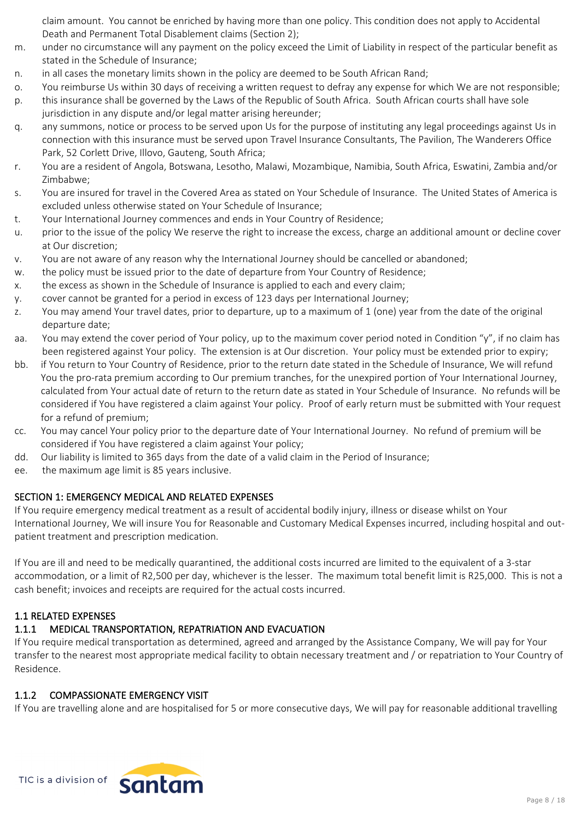claim amount. You cannot be enriched by having more than one policy. This condition does not apply to Accidental Death and Permanent Total Disablement claims (Section 2);

- m. under no circumstance will any payment on the policy exceed the Limit of Liability in respect of the particular benefit as stated in the Schedule of Insurance;
- n. in all cases the monetary limits shown in the policy are deemed to be South African Rand;
- o. You reimburse Us within 30 days of receiving a written request to defray any expense for which We are not responsible;
- p. this insurance shall be governed by the Laws of the Republic of South Africa. South African courts shall have sole jurisdiction in any dispute and/or legal matter arising hereunder;
- q. any summons, notice or process to be served upon Us for the purpose of instituting any legal proceedings against Us in connection with this insurance must be served upon Travel Insurance Consultants, The Pavilion, The Wanderers Office Park, 52 Corlett Drive, Illovo, Gauteng, South Africa;
- r. You are a resident of Angola, Botswana, Lesotho, Malawi, Mozambique, Namibia, South Africa, Eswatini, Zambia and/or Zimbabwe;
- s. You are insured for travel in the Covered Area as stated on Your Schedule of Insurance. The United States of America is excluded unless otherwise stated on Your Schedule of Insurance;
- t. Your International Journey commences and ends in Your Country of Residence;
- u. prior to the issue of the policy We reserve the right to increase the excess, charge an additional amount or decline cover at Our discretion;
- v. You are not aware of any reason why the International Journey should be cancelled or abandoned;
- w. the policy must be issued prior to the date of departure from Your Country of Residence;
- x. the excess as shown in the Schedule of Insurance is applied to each and every claim;
- y. cover cannot be granted for a period in excess of 123 days per International Journey;
- z. You may amend Your travel dates, prior to departure, up to a maximum of 1 (one) year from the date of the original departure date;
- aa. You may extend the cover period of Your policy, up to the maximum cover period noted in Condition " $y$ ", if no claim has been registered against Your policy. The extension is at Our discretion. Your policy must be extended prior to expiry;
- bb. if You return to Your Country of Residence, prior to the return date stated in the Schedule of Insurance, We will refund You the pro-rata premium according to Our premium tranches, for the unexpired portion of Your International Journey, calculated from Your actual date of return to the return date as stated in Your Schedule of Insurance. No refunds will be considered if You have registered a claim against Your policy. Proof of early return must be submitted with Your request for a refund of premium;
- cc. You may cancel Your policy prior to the departure date of Your International Journey. No refund of premium will be considered if You have registered a claim against Your policy;
- dd. Our liability is limited to 365 days from the date of a valid claim in the Period of Insurance;
- ee. the maximum age limit is 85 years inclusive.

# **SECTION 1: EMERGENCY MEDICAL AND RELATED EXPENSES**

If You require emergency medical treatment as a result of accidental bodily injury, illness or disease whilst on Your International Journey, We will insure You for Reasonable and Customary Medical Expenses incurred, including hospital and outpatient treatment and prescription medication.

If You are ill and need to be medically quarantined, the additional costs incurred are limited to the equivalent of a 3-star accommodation, or a limit of R2,500 per day, whichever is the lesser. The maximum total benefit limit is R25,000. This is not a cash benefit; invoices and receipts are required for the actual costs incurred.

# **1.1 RELATED EXPENSES**

# **1.1.1 MEDICAL TRANSPORTATION, REPATRIATION AND EVACUATION**

If You require medical transportation as determined, agreed and arranged by the Assistance Company, We will pay for Your transfer to the nearest most appropriate medical facility to obtain necessary treatment and / or repatriation to Your Country of Residence.

### **1.1.2 COMPASSIONATE EMERGENCY VISIT**

If You are travelling alone and are hospitalised for 5 or more consecutive days, We will pay for reasonable additional travelling

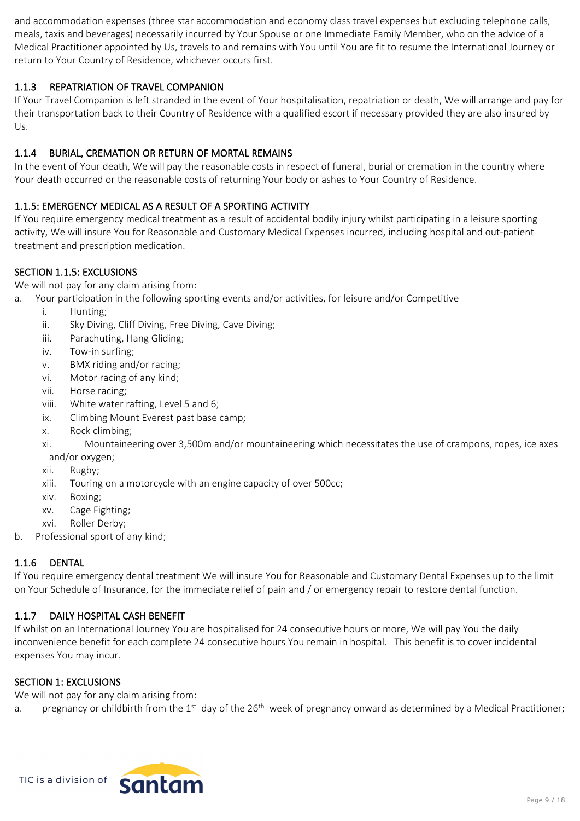and accommodation expenses (three star accommodation and economy class travel expenses but excluding telephone calls, meals, taxis and beverages) necessarily incurred by Your Spouse or one Immediate Family Member, who on the advice of a Medical Practitioner appointed by Us, travels to and remains with You until You are fit to resume the International Journey or return to Your Country of Residence, whichever occurs first.

## **1.1.3 REPATRIATION OF TRAVEL COMPANION**

If Your Travel Companion is left stranded in the event of Your hospitalisation, repatriation or death, We will arrange and pay for their transportation back to their Country of Residence with a qualified escort if necessary provided they are also insured by Us.

# **1.1.4 BURIAL, CREMATION OR RETURN OF MORTAL REMAINS**

In the event of Your death, We will pay the reasonable costs in respect of funeral, burial or cremation in the country where Your death occurred or the reasonable costs of returning Your body or ashes to Your Country of Residence.

## **1.1.5: EMERGENCY MEDICAL AS A RESULT OF A SPORTING ACTIVITY**

If You require emergency medical treatment as a result of accidental bodily injury whilst participating in a leisure sporting activity, We will insure You for Reasonable and Customary Medical Expenses incurred, including hospital and out-patient treatment and prescription medication.

### **SECTION 1.1.5: EXCLUSIONS**

We will not pay for any claim arising from:

- a. Your participation in the following sporting events and/or activities, for leisure and/or Competitive
	- i. Hunting;
	- ii. Sky Diving, Cliff Diving, Free Diving, Cave Diving;
	- iii. Parachuting, Hang Gliding;
	- iv. Tow-in surfing;
	- v. BMX riding and/or racing;
	- vi. Motor racing of any kind;
	- vii. Horse racing;
	- viii. White water rafting, Level 5 and 6;
	- ix. Climbing Mount Everest past base camp;
	- x. Rock climbing;

xi. Mountaineering over 3,500m and/or mountaineering which necessitates the use of crampons, ropes, ice axes and/or oxygen;

- xii. Rugby;
- xiii. Touring on a motorcycle with an engine capacity of over 500cc;
- xiv. Boxing;
- xv. Cage Fighting;
- xvi. Roller Derby;
- b. Professional sport of any kind;

### **1.1.6 DENTAL**

If You require emergency dental treatment We will insure You for Reasonable and Customary Dental Expenses up to the limit on Your Schedule of Insurance, for the immediate relief of pain and / or emergency repair to restore dental function.

### **1.1.7 DAILY HOSPITAL CASH BENEFIT**

If whilst on an International Journey You are hospitalised for 24 consecutive hours or more, We will pay You the daily inconvenience benefit for each complete 24 consecutive hours You remain in hospital. This benefit is to cover incidental expenses You may incur.

### **SECTION 1: EXCLUSIONS**

We will not pay for any claim arising from:

a. pregnancy or childbirth from the 1<sup>st</sup> day of the 26<sup>th</sup> week of pregnancy onward as determined by a Medical Practitioner;

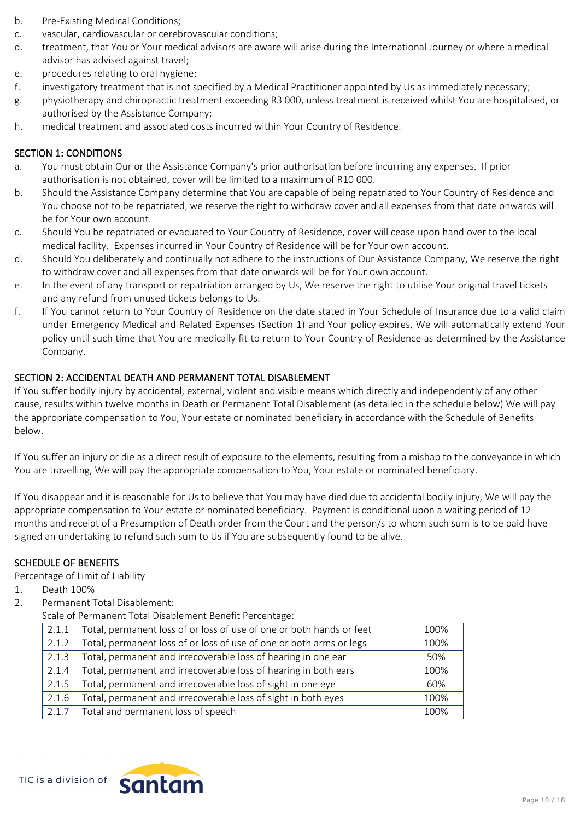- b. Pre-Existing Medical Conditions;
- c. vascular, cardiovascular or cerebrovascular conditions;
- d. treatment, that You or Your medical advisors are aware will arise during the International Journey or where a medical advisor has advised against travel;
- e. procedures relating to oral hygiene;
- f. investigatory treatment that is not specified by a Medical Practitioner appointed by Us as immediately necessary;
- g. physiotherapy and chiropractic treatment exceeding R3 000, unless treatment is received whilst You are hospitalised, or authorised by the Assistance Company;
- h. medical treatment and associated costs incurred within Your Country of Residence.

## **SECTION 1: CONDITIONS**

- a. You must obtain Our or the Assistance Company's prior authorisation before incurring any expenses. If prior authorisation is not obtained, cover will be limited to a maximum of R10 000.
- b. Should the Assistance Company determine that You are capable of being repatriated to Your Country of Residence and You choose not to be repatriated, we reserve the right to withdraw cover and all expenses from that date onwards will be for Your own account.
- c. Should You be repatriated or evacuated to Your Country of Residence, cover will cease upon hand over to the local medical facility. Expenses incurred in Your Country of Residence will be for Your own account.
- d. Should You deliberately and continually not adhere to the instructions of Our Assistance Company, We reserve the right to withdraw cover and all expenses from that date onwards will be for Your own account.
- e. In the event of any transport or repatriation arranged by Us, We reserve the right to utilise Your original travel tickets and any refund from unused tickets belongs to Us.
- f. If You cannot return to Your Country of Residence on the date stated in Your Schedule of Insurance due to a valid claim under Emergency Medical and Related Expenses (Section 1) and Your policy expires, We will automatically extend Your policy until such time that You are medically fit to return to Your Country of Residence as determined by the Assistance Company.

## **SECTION 2: ACCIDENTAL DEATH AND PERMANENT TOTAL DISABLEMENT**

If You suffer bodily injury by accidental, external, violent and visible means which directly and independently of any other cause, results within twelve months in Death or Permanent Total Disablement (as detailed in the schedule below) We will pay the appropriate compensation to You, Your estate or nominated beneficiary in accordance with the Schedule of Benefits below.

If You suffer an injury or die as a direct result of exposure to the elements, resulting from a mishap to the conveyance in which You are travelling, We will pay the appropriate compensation to You, Your estate or nominated beneficiary.

If You disappear and it is reasonable for Us to believe that You may have died due to accidental bodily injury, We will pay the appropriate compensation to Your estate or nominated beneficiary. Payment is conditional upon a waiting period of 12 months and receipt of a Presumption of Death order from the Court and the person/s to whom such sum is to be paid have signed an undertaking to refund such sum to Us if You are subsequently found to be alive.

### **SCHEDULE OF BENEFITS**

Percentage of Limit of Liability

- 1. Death 100%
- 2. Permanent Total Disablement:

Scale of Permanent Total Disablement Benefit Percentage:

| 2.1.1 | Total, permanent loss of or loss of use of one or both hands or feet | 100% |
|-------|----------------------------------------------------------------------|------|
| 2.1.2 | Total, permanent loss of or loss of use of one or both arms or legs  | 100% |
| 2.1.3 | Total, permanent and irrecoverable loss of hearing in one ear        | 50%  |
| 2.1.4 | Total, permanent and irrecoverable loss of hearing in both ears      | 100% |
| 2.1.5 | Total, permanent and irrecoverable loss of sight in one eye          | 60%  |
| 2.1.6 | Total, permanent and irrecoverable loss of sight in both eyes        | 100% |
| 2.1.7 | Total and permanent loss of speech                                   | 100% |

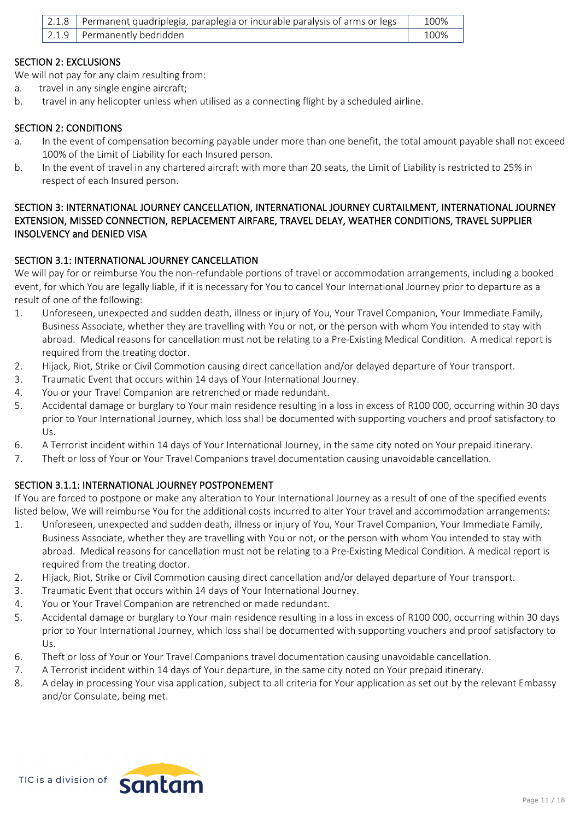| 2.1.8   Permanent quadriplegia, paraplegia or incurable paralysis of arms or legs | 100% |
|-----------------------------------------------------------------------------------|------|
| $\vert$ 2.1.9 Permanently bedridden                                               | 100% |

### **SECTION 2: EXCLUSIONS**

We will not pay for any claim resulting from:

- a. travel in any single engine aircraft;
- b. travel in any helicopter unless when utilised as a connecting flight by a scheduled airline.

### **SECTION 2: CONDITIONS**

- a. In the event of compensation becoming payable under more than one benefit, the total amount payable shall not exceed 100% of the Limit of Liability for each Insured person.
- b. In the event of travel in any chartered aircraft with more than 20 seats, the Limit of Liability is restricted to 25% in respect of each Insured person.

### **SECTION 3: INTERNATIONAL JOURNEY CANCELLATION, INTERNATIONAL JOURNEY CURTAILMENT, INTERNATIONAL JOURNEY EXTENSION, MISSED CONNECTION, REPLACEMENT AIRFARE, TRAVEL DELAY, WEATHER CONDITIONS, TRAVEL SUPPLIER INSOLVENCY and DENIED VISA**

### **SECTION 3.1: INTERNATIONAL JOURNEY CANCELLATION**

We will pay for or reimburse You the non-refundable portions of travel or accommodation arrangements, including a booked event, for which You are legally liable, if it is necessary for You to cancel Your International Journey prior to departure as a result of one of the following:

- 1. Unforeseen, unexpected and sudden death, illness or injury of You, Your Travel Companion, Your Immediate Family, Business Associate, whether they are travelling with You or not, or the person with whom You intended to stay with abroad. Medical reasons for cancellation must not be relating to a Pre-Existing Medical Condition. A medical report is required from the treating doctor.
- 2. Hijack, Riot, Strike or Civil Commotion causing direct cancellation and/or delayed departure of Your transport.
- 3. Traumatic Event that occurs within 14 days of Your International Journey.
- 4. You or your Travel Companion are retrenched or made redundant.
- 5. Accidental damage or burglary to Your main residence resulting in a loss in excess of R100 000, occurring within 30 days prior to Your International Journey, which loss shall be documented with supporting vouchers and proof satisfactory to Us.
- 6. A Terrorist incident within 14 days of Your International Journey, in the same city noted on Your prepaid itinerary.
- 7. Theft or loss of Your or Your Travel Companions travel documentation causing unavoidable cancellation.

# **SECTION 3.1.1: INTERNATIONAL JOURNEY POSTPONEMENT**

If You are forced to postpone or make any alteration to Your International Journey as a result of one of the specified events listed below, We will reimburse You for the additional costs incurred to alter Your travel and accommodation arrangements:

- 1. Unforeseen, unexpected and sudden death, illness or injury of You, Your Travel Companion, Your Immediate Family, Business Associate, whether they are travelling with You or not, or the person with whom You intended to stay with abroad. Medical reasons for cancellation must not be relating to a Pre-Existing Medical Condition. A medical report is required from the treating doctor.
- 2. Hijack, Riot, Strike or Civil Commotion causing direct cancellation and/or delayed departure of Your transport.
- 3. Traumatic Event that occurs within 14 days of Your International Journey.
- 4. You or Your Travel Companion are retrenched or made redundant.
- 5. Accidental damage or burglary to Your main residence resulting in a loss in excess of R100 000, occurring within 30 days prior to Your International Journey, which loss shall be documented with supporting vouchers and proof satisfactory to Us.
- 6. Theft or loss of Your or Your Travel Companions travel documentation causing unavoidable cancellation.
- 7. A Terrorist incident within 14 days of Your departure, in the same city noted on Your prepaid itinerary.
- 8. A delay in processing Your visa application, subject to all criteria for Your application as set out by the relevant Embassy and/or Consulate, being met.

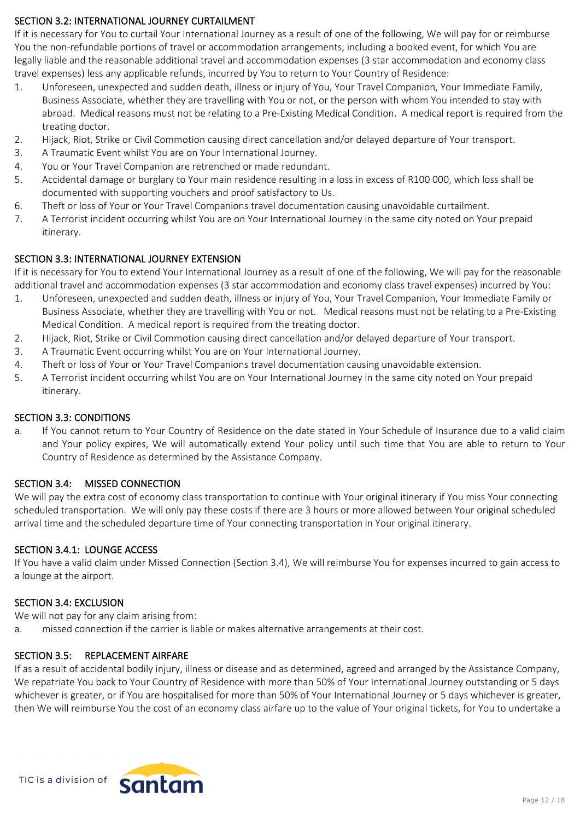## **SECTION 3.2: INTERNATIONAL JOURNEY CURTAILMENT**

If it is necessary for You to curtail Your International Journey as a result of one of the following, We will pay for or reimburse You the non-refundable portions of travel or accommodation arrangements, including a booked event, for which You are legally liable and the reasonable additional travel and accommodation expenses (3 star accommodation and economy class travel expenses) less any applicable refunds, incurred by You to return to Your Country of Residence:

- 1. Unforeseen, unexpected and sudden death, illness or injury of You, Your Travel Companion, Your Immediate Family, Business Associate, whether they are travelling with You or not, or the person with whom You intended to stay with abroad. Medical reasons must not be relating to a Pre-Existing Medical Condition. A medical report is required from the treating doctor.
- 2. Hijack, Riot, Strike or Civil Commotion causing direct cancellation and/or delayed departure of Your transport.
- 3. A Traumatic Event whilst You are on Your International Journey.
- 4. You or Your Travel Companion are retrenched or made redundant.
- 5. Accidental damage or burglary to Your main residence resulting in a loss in excess of R100 000, which loss shall be documented with supporting vouchers and proof satisfactory to Us.
- 6. Theft or loss of Your or Your Travel Companions travel documentation causing unavoidable curtailment.
- 7. A Terrorist incident occurring whilst You are on Your International Journey in the same city noted on Your prepaid itinerary.

## **SECTION 3.3: INTERNATIONAL JOURNEY EXTENSION**

If it is necessary for You to extend Your International Journey as a result of one of the following, We will pay for the reasonable additional travel and accommodation expenses (3 star accommodation and economy class travel expenses) incurred by You:

- 1. Unforeseen, unexpected and sudden death, illness or injury of You, Your Travel Companion, Your Immediate Family or Business Associate, whether they are travelling with You or not. Medical reasons must not be relating to a Pre-Existing Medical Condition. A medical report is required from the treating doctor.
- 2. Hijack, Riot, Strike or Civil Commotion causing direct cancellation and/or delayed departure of Your transport.
- 3. A Traumatic Event occurring whilst You are on Your International Journey.
- 4. Theft or loss of Your or Your Travel Companions travel documentation causing unavoidable extension.
- 5. A Terrorist incident occurring whilst You are on Your International Journey in the same city noted on Your prepaid itinerary.

### **SECTION 3.3: CONDITIONS**

a. If You cannot return to Your Country of Residence on the date stated in Your Schedule of Insurance due to a valid claim and Your policy expires, We will automatically extend Your policy until such time that You are able to return to Your Country of Residence as determined by the Assistance Company.

### **SECTION 3.4: MISSED CONNECTION**

We will pay the extra cost of economy class transportation to continue with Your original itinerary if You miss Your connecting scheduled transportation. We will only pay these costs if there are 3 hours or more allowed between Your original scheduled arrival time and the scheduled departure time of Your connecting transportation in Your original itinerary.

### **SECTION 3.4.1: LOUNGE ACCESS**

If You have a valid claim under Missed Connection (Section 3.4), We will reimburse You for expenses incurred to gain access to a lounge at the airport.

### **SECTION 3.4: EXCLUSION**

We will not pay for any claim arising from:

a. missed connection if the carrier is liable or makes alternative arrangements at their cost.

### **SECTION 3.5: REPLACEMENT AIRFARE**

If as a result of accidental bodily injury, illness or disease and as determined, agreed and arranged by the Assistance Company, We repatriate You back to Your Country of Residence with more than 50% of Your International Journey outstanding or 5 days whichever is greater, or if You are hospitalised for more than 50% of Your International Journey or 5 days whichever is greater, then We will reimburse You the cost of an economy class airfare up to the value of Your original tickets, for You to undertake a

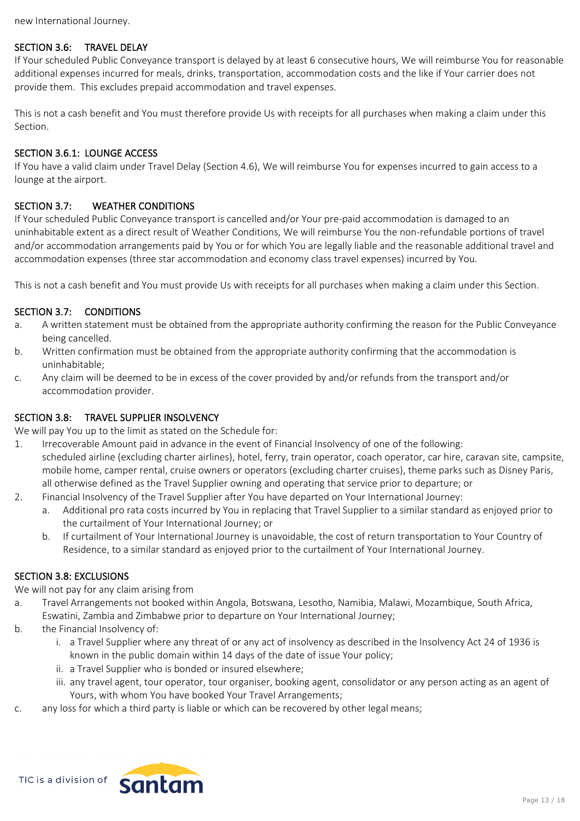new International Journey.

# **SECTION 3.6: TRAVEL DELAY**

If Your scheduled Public Conveyance transport is delayed by at least 6 consecutive hours, We will reimburse You for reasonable additional expenses incurred for meals, drinks, transportation, accommodation costs and the like if Your carrier does not provide them. This excludes prepaid accommodation and travel expenses.

This is not a cash benefit and You must therefore provide Us with receipts for all purchases when making a claim under this Section.

## **SECTION 3.6.1: LOUNGE ACCESS**

If You have a valid claim under Travel Delay (Section 4.6), We will reimburse You for expenses incurred to gain access to a lounge at the airport.

## **SECTION 3.7: WEATHER CONDITIONS**

If Your scheduled Public Conveyance transport is cancelled and/or Your pre-paid accommodation is damaged to an uninhabitable extent as a direct result of Weather Conditions, We will reimburse You the non-refundable portions of travel and/or accommodation arrangements paid by You or for which You are legally liable and the reasonable additional travel and accommodation expenses (three star accommodation and economy class travel expenses) incurred by You.

This is not a cash benefit and You must provide Us with receipts for all purchases when making a claim under this Section.

### **SECTION 3.7: CONDITIONS**

- a. A written statement must be obtained from the appropriate authority confirming the reason for the Public Conveyance being cancelled.
- b. Written confirmation must be obtained from the appropriate authority confirming that the accommodation is uninhabitable;
- c. Any claim will be deemed to be in excess of the cover provided by and/or refunds from the transport and/or accommodation provider.

### **SECTION 3.8: TRAVEL SUPPLIER INSOLVENCY**

We will pay You up to the limit as stated on the Schedule for:

- 1. Irrecoverable Amount paid in advance in the event of Financial Insolvency of one of the following: scheduled airline (excluding charter airlines), hotel, ferry, train operator, coach operator, car hire, caravan site, campsite, mobile home, camper rental, cruise owners or operators (excluding charter cruises), theme parks such as Disney Paris, all otherwise defined as the Travel Supplier owning and operating that service prior to departure; or
- 2. Financial Insolvency of the Travel Supplier after You have departed on Your International Journey:
	- a. Additional pro rata costs incurred by You in replacing that Travel Supplier to a similar standard as enjoyed prior to the curtailment of Your International Journey; or
	- b. If curtailment of Your International Journey is unavoidable, the cost of return transportation to Your Country of Residence, to a similar standard as enjoyed prior to the curtailment of Your International Journey.

### **SECTION 3.8: EXCLUSIONS**

We will not pay for any claim arising from

- a. Travel Arrangements not booked within Angola, Botswana, Lesotho, Namibia, Malawi, Mozambique, South Africa, Eswatini, Zambia and Zimbabwe prior to departure on Your International Journey;
- b. the Financial Insolvency of:
	- i. a Travel Supplier where any threat of or any act of insolvency as described in the Insolvency Act 24 of 1936 is known in the public domain within 14 days of the date of issue Your policy;
	- ii. a Travel Supplier who is bonded or insured elsewhere;
	- iii. any travel agent, tour operator, tour organiser, booking agent, consolidator or any person acting as an agent of Yours, with whom You have booked Your Travel Arrangements;
- c. any loss for which a third party is liable or which can be recovered by other legal means;

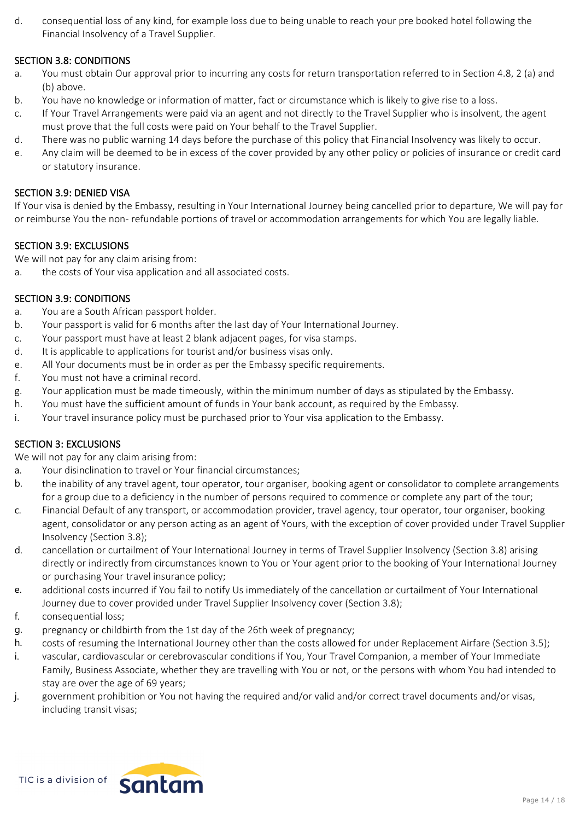d. consequential loss of any kind, for example loss due to being unable to reach your pre booked hotel following the Financial Insolvency of a Travel Supplier.

### **SECTION 3.8: CONDITIONS**

- a. You must obtain Our approval prior to incurring any costs for return transportation referred to in Section 4.8, 2 (a) and (b) above.
- b. You have no knowledge or information of matter, fact or circumstance which is likely to give rise to a loss.
- c. If Your Travel Arrangements were paid via an agent and not directly to the Travel Supplier who is insolvent, the agent must prove that the full costs were paid on Your behalf to the Travel Supplier.
- d. There was no public warning 14 days before the purchase of this policy that Financial Insolvency was likely to occur.
- e. Any claim will be deemed to be in excess of the cover provided by any other policy or policies of insurance or credit card or statutory insurance.

### **SECTION 3.9: DENIED VISA**

If Your visa is denied by the Embassy, resulting in Your International Journey being cancelled prior to departure, We will pay for or reimburse You the non- refundable portions of travel or accommodation arrangements for which You are legally liable.

### **SECTION 3.9: EXCLUSIONS**

We will not pay for any claim arising from:

a. the costs of Your visa application and all associated costs.

### **SECTION 3.9: CONDITIONS**

- a. You are a South African passport holder.
- b. Your passport is valid for 6 months after the last day of Your International Journey.
- c. Your passport must have at least 2 blank adjacent pages, for visa stamps.
- d. It is applicable to applications for tourist and/or business visas only.
- e. All Your documents must be in order as per the Embassy specific requirements.
- f. You must not have a criminal record.
- g. Your application must be made timeously, within the minimum number of days as stipulated by the Embassy.
- h. You must have the sufficient amount of funds in Your bank account, as required by the Embassy.
- i. Your travel insurance policy must be purchased prior to Your visa application to the Embassy.

#### **SECTION 3: EXCLUSIONS**

We will not pay for any claim arising from:

- a. Your disinclination to travel or Your financial circumstances;
- b. the inability of any travel agent, tour operator, tour organiser, booking agent or consolidator to complete arrangements for a group due to a deficiency in the number of persons required to commence or complete any part of the tour;
- c. Financial Default of any transport, or accommodation provider, travel agency, tour operator, tour organiser, booking agent, consolidator or any person acting as an agent of Yours, with the exception of cover provided under Travel Supplier Insolvency (Section 3.8);
- d. cancellation or curtailment of Your International Journey in terms of Travel Supplier Insolvency (Section 3.8) arising directly or indirectly from circumstances known to You or Your agent prior to the booking of Your International Journey or purchasing Your travel insurance policy;
- e. additional costs incurred if You fail to notify Us immediately of the cancellation or curtailment of Your International Journey due to cover provided under Travel Supplier Insolvency cover (Section 3.8);
- f. consequential loss;
- g. pregnancy or childbirth from the 1st day of the 26th week of pregnancy;
- h. costs of resuming the International Journey other than the costs allowed for under Replacement Airfare (Section 3.5);
- i. vascular, cardiovascular or cerebrovascular conditions if You, Your Travel Companion, a member of Your Immediate Family, Business Associate, whether they are travelling with You or not, or the persons with whom You had intended to stay are over the age of 69 years;
- j. government prohibition or You not having the required and/or valid and/or correct travel documents and/or visas, including transit visas;

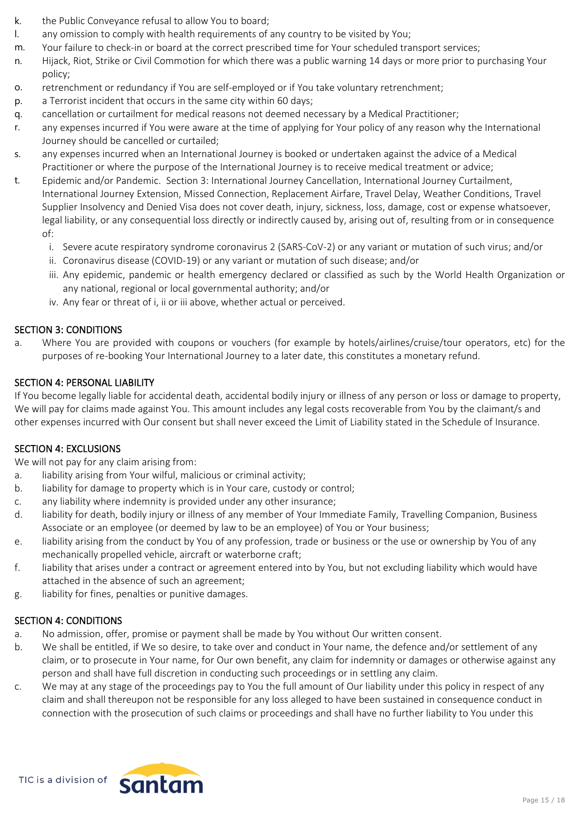- k. the Public Conveyance refusal to allow You to board;
- l. any omission to comply with health requirements of any country to be visited by You;
- m. Your failure to check-in or board at the correct prescribed time for Your scheduled transport services;
- n. Hijack, Riot, Strike or Civil Commotion for which there was a public warning 14 days or more prior to purchasing Your policy;
- o. retrenchment or redundancy if You are self-employed or if You take voluntary retrenchment;
- p. a Terrorist incident that occurs in the same city within 60 days;
- q. cancellation or curtailment for medical reasons not deemed necessary by a Medical Practitioner;
- r. any expenses incurred if You were aware at the time of applying for Your policy of any reason why the International Journey should be cancelled or curtailed;
- s. any expenses incurred when an International Journey is booked or undertaken against the advice of a Medical Practitioner or where the purpose of the International Journey is to receive medical treatment or advice;
- t. Epidemic and/or Pandemic. Section 3: International Journey Cancellation, International Journey Curtailment, International Journey Extension, Missed Connection, Replacement Airfare, Travel Delay, Weather Conditions, Travel Supplier Insolvency and Denied Visa does not cover death, injury, sickness, loss, damage, cost or expense whatsoever, legal liability, or any consequential loss directly or indirectly caused by, arising out of, resulting from or in consequence of:
	- i. Severe acute respiratory syndrome coronavirus 2 (SARS-CoV-2) or any variant or mutation of such virus; and/or
	- ii. Coronavirus disease (COVID-19) or any variant or mutation of such disease; and/or
	- iii. Any epidemic, pandemic or health emergency declared or classified as such by the World Health Organization or any national, regional or local governmental authority; and/or
	- iv. Any fear or threat of i, ii or iii above, whether actual or perceived.

### **SECTION 3: CONDITIONS**

a. Where You are provided with coupons or vouchers (for example by hotels/airlines/cruise/tour operators, etc) for the purposes of re-booking Your International Journey to a later date, this constitutes a monetary refund.

### **SECTION 4: PERSONAL LIABILITY**

If You become legally liable for accidental death, accidental bodily injury or illness of any person or loss or damage to property, We will pay for claims made against You. This amount includes any legal costs recoverable from You by the claimant/s and other expenses incurred with Our consent but shall never exceed the Limit of Liability stated in the Schedule of Insurance.

### **SECTION 4: EXCLUSIONS**

We will not pay for any claim arising from:

- a. liability arising from Your wilful, malicious or criminal activity;
- b. liability for damage to property which is in Your care, custody or control;
- c. any liability where indemnity is provided under any other insurance;
- d. liability for death, bodily injury or illness of any member of Your Immediate Family, Travelling Companion, Business Associate or an employee (or deemed by law to be an employee) of You or Your business;
- e. liability arising from the conduct by You of any profession, trade or business or the use or ownership by You of any mechanically propelled vehicle, aircraft or waterborne craft;
- f. liability that arises under a contract or agreement entered into by You, but not excluding liability which would have attached in the absence of such an agreement;
- g. liability for fines, penalties or punitive damages.

### **SECTION 4: CONDITIONS**

- a. No admission, offer, promise or payment shall be made by You without Our written consent.
- b. We shall be entitled, if We so desire, to take over and conduct in Your name, the defence and/or settlement of any claim, or to prosecute in Your name, for Our own benefit, any claim for indemnity or damages or otherwise against any person and shall have full discretion in conducting such proceedings or in settling any claim.
- c. We may at any stage of the proceedings pay to You the full amount of Our liability under this policy in respect of any claim and shall thereupon not be responsible for any loss alleged to have been sustained in consequence conduct in connection with the prosecution of such claims or proceedings and shall have no further liability to You under this

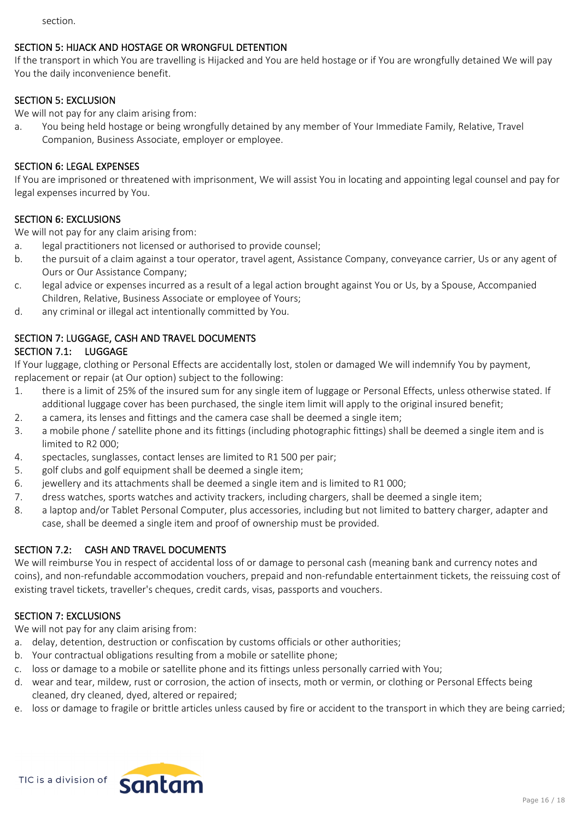section.

## **SECTION 5: HIJACK AND HOSTAGE OR WRONGFUL DETENTION**

If the transport in which You are travelling is Hijacked and You are held hostage or if You are wrongfully detained We will pay You the daily inconvenience benefit.

### **SECTION 5: EXCLUSION**

We will not pay for any claim arising from:

a. You being held hostage or being wrongfully detained by any member of Your Immediate Family, Relative, Travel Companion, Business Associate, employer or employee.

### **SECTION 6: LEGAL EXPENSES**

If You are imprisoned or threatened with imprisonment, We will assist You in locating and appointing legal counsel and pay for legal expenses incurred by You.

### **SECTION 6: EXCLUSIONS**

We will not pay for any claim arising from:

- a. legal practitioners not licensed or authorised to provide counsel;
- b. the pursuit of a claim against a tour operator, travel agent, Assistance Company, conveyance carrier, Us or any agent of Ours or Our Assistance Company;
- c. legal advice or expenses incurred as a result of a legal action brought against You or Us, by a Spouse, Accompanied Children, Relative, Business Associate or employee of Yours;
- d. any criminal or illegal act intentionally committed by You.

# **SECTION 7: LUGGAGE, CASH AND TRAVEL DOCUMENTS**

## **SECTION 7.1: LUGGAGE**

If Your luggage, clothing or Personal Effects are accidentally lost, stolen or damaged We will indemnify You by payment, replacement or repair (at Our option) subject to the following:

- 1. there is a limit of 25% of the insured sum for any single item of luggage or Personal Effects, unless otherwise stated. If additional luggage cover has been purchased, the single item limit will apply to the original insured benefit;
- 2. a camera, its lenses and fittings and the camera case shall be deemed a single item;
- 3. a mobile phone / satellite phone and its fittings (including photographic fittings) shall be deemed a single item and is limited to R2 000;
- 4. spectacles, sunglasses, contact lenses are limited to R1 500 per pair;
- 5. golf clubs and golf equipment shall be deemed a single item;
- 6. jewellery and its attachments shall be deemed a single item and is limited to R1 000;
- 7. dress watches, sports watches and activity trackers, including chargers, shall be deemed a single item;
- 8. a laptop and/or Tablet Personal Computer, plus accessories, including but not limited to battery charger, adapter and case, shall be deemed a single item and proof of ownership must be provided.

### **SECTION 7.2: CASH AND TRAVEL DOCUMENTS**

We will reimburse You in respect of accidental loss of or damage to personal cash (meaning bank and currency notes and coins), and non-refundable accommodation vouchers, prepaid and non-refundable entertainment tickets, the reissuing cost of existing travel tickets, traveller's cheques, credit cards, visas, passports and vouchers.

### **SECTION 7: EXCLUSIONS**

We will not pay for any claim arising from:

- a. delay, detention, destruction or confiscation by customs officials or other authorities;
- b. Your contractual obligations resulting from a mobile or satellite phone;
- c. loss or damage to a mobile or satellite phone and its fittings unless personally carried with You;
- d. wear and tear, mildew, rust or corrosion, the action of insects, moth or vermin, or clothing or Personal Effects being cleaned, dry cleaned, dyed, altered or repaired;
- e. loss or damage to fragile or brittle articles unless caused by fire or accident to the transport in which they are being carried;

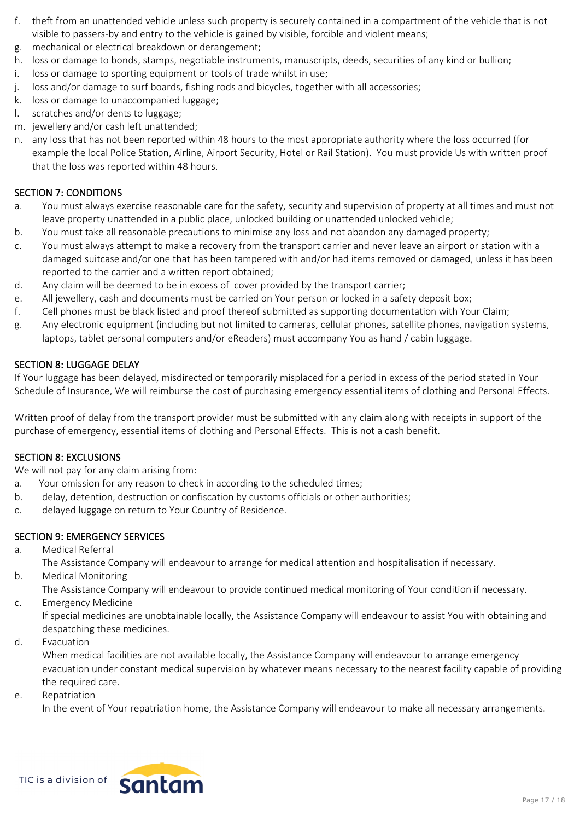- f. theft from an unattended vehicle unless such property is securely contained in a compartment of the vehicle that is not visible to passers-by and entry to the vehicle is gained by visible, forcible and violent means;
- g. mechanical or electrical breakdown or derangement;
- h. loss or damage to bonds, stamps, negotiable instruments, manuscripts, deeds, securities of any kind or bullion;
- i. loss or damage to sporting equipment or tools of trade whilst in use;
- j. loss and/or damage to surf boards, fishing rods and bicycles, together with all accessories;
- k. loss or damage to unaccompanied luggage;
- l. scratches and/or dents to luggage;
- m. jewellery and/or cash left unattended;
- n. any loss that has not been reported within 48 hours to the most appropriate authority where the loss occurred (for example the local Police Station, Airline, Airport Security, Hotel or Rail Station). You must provide Us with written proof that the loss was reported within 48 hours.

## **SECTION 7: CONDITIONS**

- a. You must always exercise reasonable care for the safety, security and supervision of property at all times and must not leave property unattended in a public place, unlocked building or unattended unlocked vehicle;
- b. You must take all reasonable precautions to minimise any loss and not abandon any damaged property;
- c. You must always attempt to make a recovery from the transport carrier and never leave an airport or station with a damaged suitcase and/or one that has been tampered with and/or had items removed or damaged, unless it has been reported to the carrier and a written report obtained;
- d. Any claim will be deemed to be in excess of cover provided by the transport carrier;
- e. All jewellery, cash and documents must be carried on Your person or locked in a safety deposit box;
- f. Cell phones must be black listed and proof thereof submitted as supporting documentation with Your Claim;
- g. Any electronic equipment (including but not limited to cameras, cellular phones, satellite phones, navigation systems, laptops, tablet personal computers and/or eReaders) must accompany You as hand / cabin luggage.

## **SECTION 8: LUGGAGE DELAY**

If Your luggage has been delayed, misdirected or temporarily misplaced for a period in excess of the period stated in Your Schedule of Insurance, We will reimburse the cost of purchasing emergency essential items of clothing and Personal Effects.

Written proof of delay from the transport provider must be submitted with any claim along with receipts in support of the purchase of emergency, essential items of clothing and Personal Effects. This is not a cash benefit.

### **SECTION 8: EXCLUSIONS**

We will not pay for any claim arising from:

- a. Your omission for any reason to check in according to the scheduled times;
- b. delay, detention, destruction or confiscation by customs officials or other authorities;
- c. delayed luggage on return to Your Country of Residence.

# **SECTION 9: EMERGENCY SERVICES**

- a. Medical Referral
	- The Assistance Company will endeavour to arrange for medical attention and hospitalisation if necessary.
- b. Medical Monitoring
	- The Assistance Company will endeavour to provide continued medical monitoring of Your condition if necessary.
- c. Emergency Medicine

If special medicines are unobtainable locally, the Assistance Company will endeavour to assist You with obtaining and despatching these medicines.

d. Evacuation

When medical facilities are not available locally, the Assistance Company will endeavour to arrange emergency evacuation under constant medical supervision by whatever means necessary to the nearest facility capable of providing the required care.

e. Repatriation

In the event of Your repatriation home, the Assistance Company will endeavour to make all necessary arrangements.